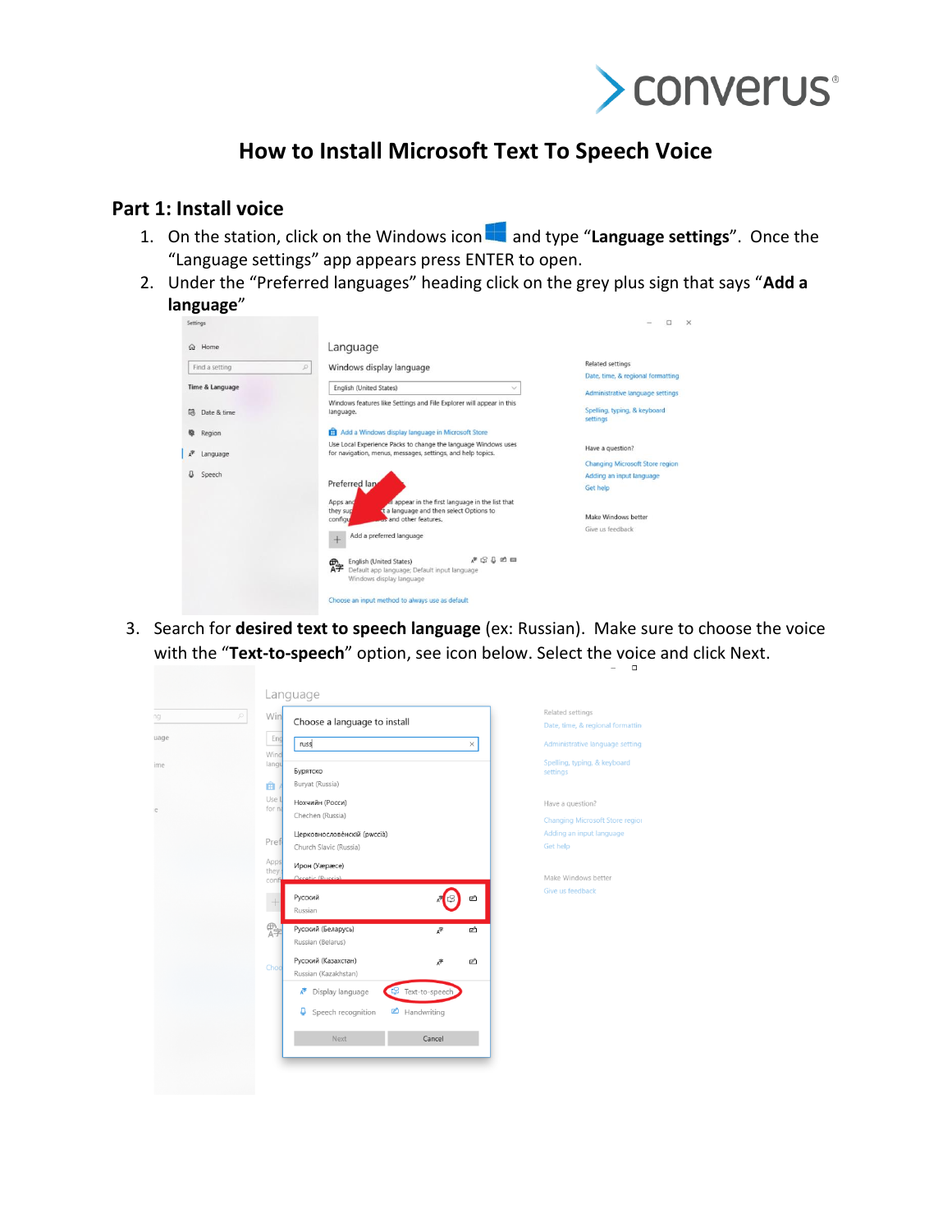

## **How to Install Microsoft Text To Speech Voice**

## **Part 1: Install voice**

- 1. On the station, click on the Windows icon and type "**Language settings**". Once the "Language settings" app appears press ENTER to open.
- 2. Under the "Preferred languages" heading click on the grey plus sign that says "**Add a language**"

| Settings                     |                                                                                                                                                                 | $\Box$<br>$\times$                       |  |  |  |
|------------------------------|-----------------------------------------------------------------------------------------------------------------------------------------------------------------|------------------------------------------|--|--|--|
| Home<br>$\Omega$             | Language                                                                                                                                                        |                                          |  |  |  |
| Find a setting               | Windows display language<br>$\mathcal{L}$                                                                                                                       | <b>Related settings</b>                  |  |  |  |
|                              |                                                                                                                                                                 | Date, time, & regional formatting        |  |  |  |
| Time & Language              | English (United States)<br>$\checkmark$                                                                                                                         | Administrative language settings         |  |  |  |
| 昆<br>Date & time             | Windows features like Settings and File Explorer will appear in this<br>language.                                                                               | Spelling, typing, & keyboard<br>settings |  |  |  |
| Region                       | Add a Windows display language in Microsoft Store<br>m                                                                                                          |                                          |  |  |  |
| $\tilde{\sigma}$<br>Language | Use Local Experience Packs to change the language Windows uses<br>for navigation, menus, messages, settings, and help topics.                                   | Have a question?                         |  |  |  |
|                              |                                                                                                                                                                 | <b>Changing Microsoft Store region</b>   |  |  |  |
| Speech                       | Preferred land                                                                                                                                                  | Adding an input language                 |  |  |  |
|                              |                                                                                                                                                                 | Get help                                 |  |  |  |
|                              | all appear in the first language in the list that<br>Apps and                                                                                                   |                                          |  |  |  |
|                              | t a language and then select Options to<br>they sup<br>us and other features.<br>configu                                                                        | Make Windows better                      |  |  |  |
|                              | Add a preferred language<br>$+$                                                                                                                                 | Give us feedback                         |  |  |  |
|                              | $\mathbb{P} \subseteq \mathbb{L} \ncong \mathbb{m}$<br>English (United States)<br>霹<br>Default app language; Default input language<br>Windows display language |                                          |  |  |  |
|                              | Choose an input method to always use as default                                                                                                                 |                                          |  |  |  |

3. Search for **desired text to speech language** (ex: Russian). Make sure to choose the voice with the "**Text-to-speech**" option, see icon below. Select the voice and click Next.

|                 | Language                                                                               |                                                                                       |
|-----------------|----------------------------------------------------------------------------------------|---------------------------------------------------------------------------------------|
| O<br>ng<br>uage | Win<br>Choose a language to install<br>Eng<br>russ<br>$\times$                         | Related settings<br>Date, time, & regional formatti<br>Administrative language settin |
| ime             | Wind<br>langu<br>Бурятско<br>Buryat (Russia)                                           | Spelling, typing, & keyboard<br>settings                                              |
| le              | 曲<br>Use I<br>Нохчийн (Росси)<br>for na<br>Chechen (Russia)                            | Have a question?<br><b>Changing Microsoft Store regio</b>                             |
|                 | Церковнословенскій (рwccia)<br>Pref<br>Church Slavic (Russia)<br>Apps<br>Ирон (Уæрæсе) | Adding an input language<br><b>Get help</b>                                           |
|                 | they<br>Occatic (Ruccia)<br>confi<br>Русский<br>ø<br>F<br>Russian                      | Make Windows better<br>Give us feedback                                               |
|                 | 骨子<br>Русский (Беларусь)<br>$A^{\nexists}$<br>☝<br>Russian (Belarus)                   |                                                                                       |
|                 | Русский (Казахстан)<br>Ⴥ<br>☑<br>Chod<br>Russian (Kazakhstan)                          |                                                                                       |
|                 | Text-to-speech<br>Display language<br>Æ<br>Handwriting<br>٥<br>Speech recognition      |                                                                                       |
|                 | Next<br>Cancel                                                                         |                                                                                       |
|                 |                                                                                        |                                                                                       |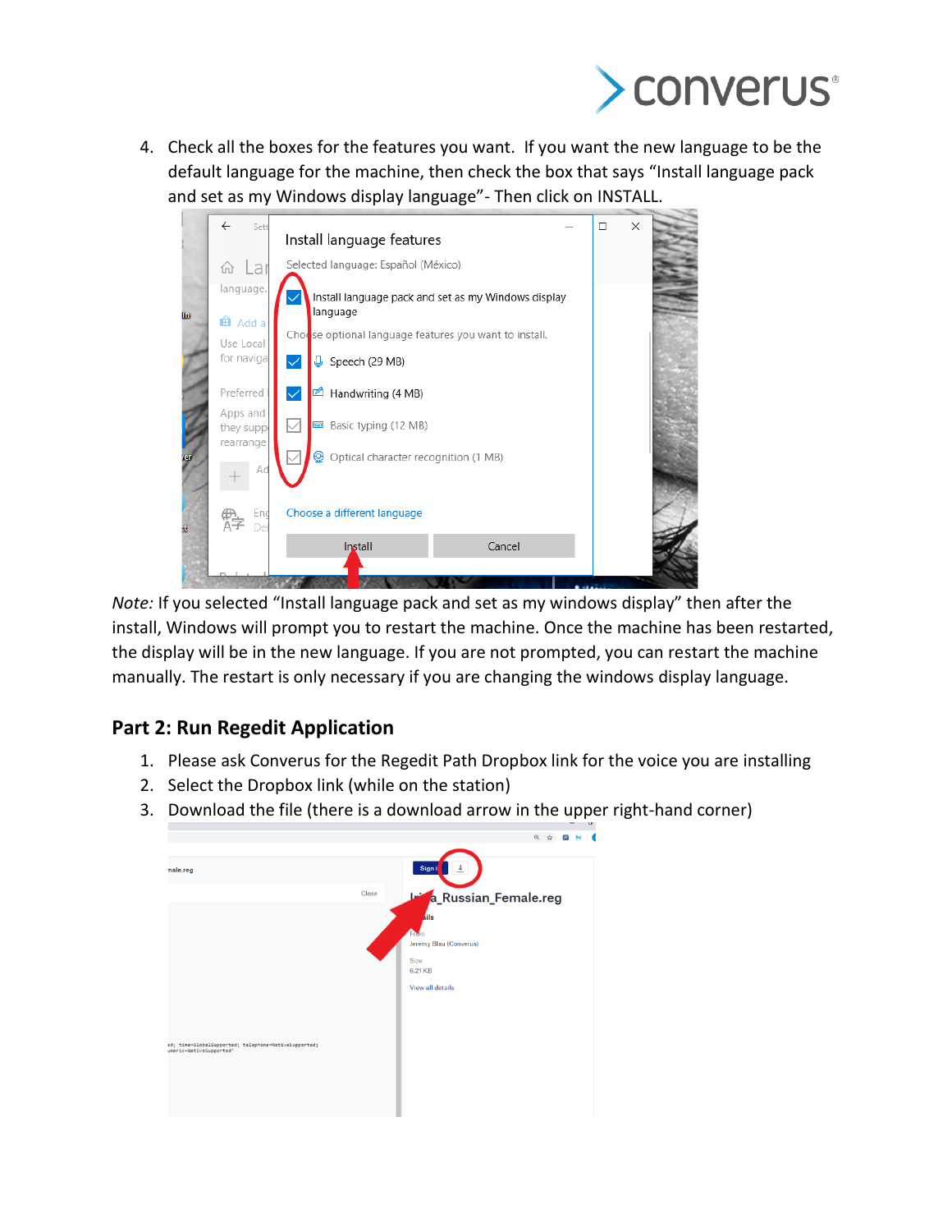

4. Check all the boxes for the features you want. If you want the new language to be the default language for the machine, then check the box that says "Install language pack and set as my Windows display language"- Then click on INSTALL.

|     | $\leftarrow$<br>Sett                                                         |                                                        | $\Box$ | × |  |  |
|-----|------------------------------------------------------------------------------|--------------------------------------------------------|--------|---|--|--|
|     |                                                                              | Install language features                              |        |   |  |  |
|     | <b>命 Lar</b>                                                                 | Selected language: Español (México)                    |        |   |  |  |
| in. | language.<br>Install language pack and set as my Windows display<br>language |                                                        |        |   |  |  |
|     | <b>El</b> Add a<br>Use Local                                                 | Chodse optional language features you want to install. |        |   |  |  |
|     | for navigal                                                                  | $\checkmark$<br>$\sqrt{\phantom{a}}$ Speech (29 MB)    |        |   |  |  |
|     | Preferred                                                                    | $\checkmark$<br>$\blacksquare$ Handwriting (4 MB)      |        |   |  |  |
|     | Apps and<br>they supp<br>rearrange                                           | $\vee$<br>Basic typing (12 MB)                         |        |   |  |  |
| er  | Ac                                                                           | ⊛<br>Optical character recognition (1 MB)              |        |   |  |  |
| t,  | End<br>Dei                                                                   | Choose a different language                            |        |   |  |  |
|     |                                                                              | Install<br>Cancel                                      |        |   |  |  |
|     |                                                                              |                                                        |        |   |  |  |

*Note:* If you selected "Install language pack and set as my windows display" then after the install, Windows will prompt you to restart the machine. Once the machine has been restarted, the display will be in the new language. If you are not prompted, you can restart the machine manually. The restart is only necessary if you are changing the windows display language.

## **Part 2: Run Regedit Application**

- 1. Please ask Converus for the Regedit Path Dropbox link for the voice you are installing
- 2. Select the Dropbox link (while on the station)
- 3. Download the file (there is a download arrow in the upper right-hand corner)